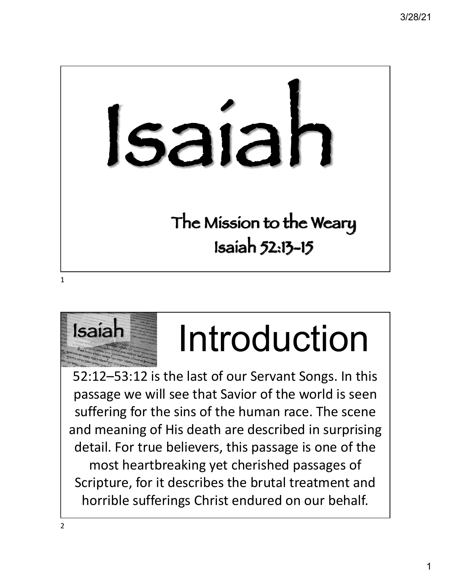# Isaiah The Mission to the Weary Isaiah 52:13-15

1



## Isaiah Introduction

52:12–53:12 is the last of our Servant Songs. In this passage we will see that Savior of the world is seen suffering for the sins of the human race. The scene and meaning of His death are described in surprising detail. For true believers, this passage is one of the most heartbreaking yet cherished passages of Scripture, for it describes the brutal treatment and horrible sufferings Christ endured on our behalf.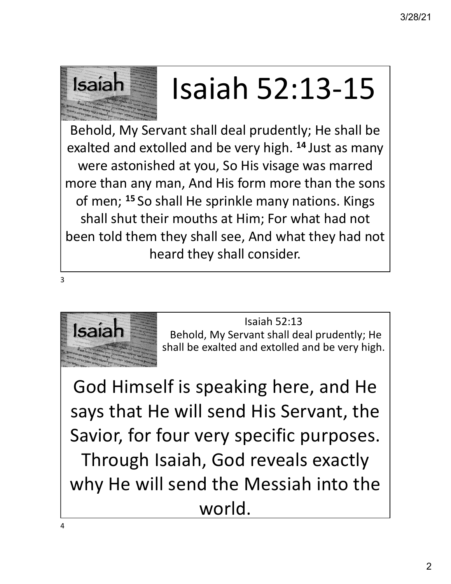

### Isaiah  $\equiv$  Isaiah 52:13-15

Behold, My Servant shall deal prudently; He shall be exalted and extolled and be very high. **<sup>14</sup>** Just as many were astonished at you, So His visage was marred more than any man, And His form more than the sons of men; **<sup>15</sup>** So shall He sprinkle many nations. Kings shall shut their mouths at Him; For what had not been told them they shall see, And what they had not heard they shall consider.



Isaiah 52:13<br>**Isaiah** Behold, My Servant shall deal prudently; He shall be exalted and extolled and be very high.

God Himself is speaking here, and He says that He will send His Servant, the Savior, for four very specific purposes. Through Isaiah, God reveals exactly why He will send the Messiah into the world.

3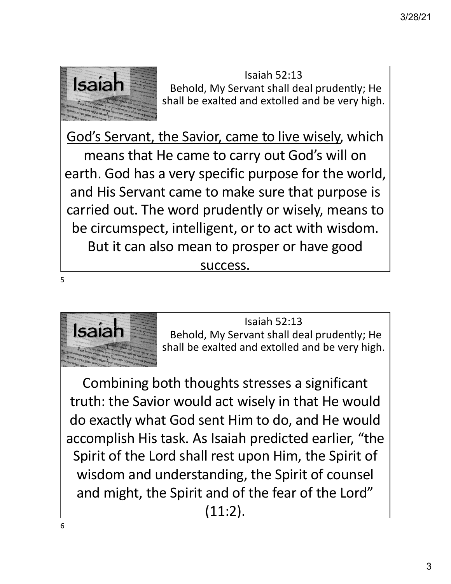

Isaiah 52:13<br>**Isaiah 1988 Behold, My Servant shall deal prudently; He** shall be exalted and extolled and be very high.

God's Servant, the Savior, came to live wisely, which means that He came to carry out God's will on earth. God has a very specific purpose for the world, and His Servant came to make sure that purpose is carried out. The word prudently or wisely, means to be circumspect, intelligent, or to act with wisdom. But it can also mean to prosper or have good success.

5



Isaiah 52:13<br>**Isaiah** Behold, My Servant shall deal prudently; He shall be exalted and extolled and be very high.

Combining both thoughts stresses a significant truth: the Savior would act wisely in that He would do exactly what God sent Him to do, and He would accomplish His task. As Isaiah predicted earlier, "the Spirit of the Lord shall rest upon Him, the Spirit of wisdom and understanding, the Spirit of counsel and might, the Spirit and of the fear of the Lord" (11:2).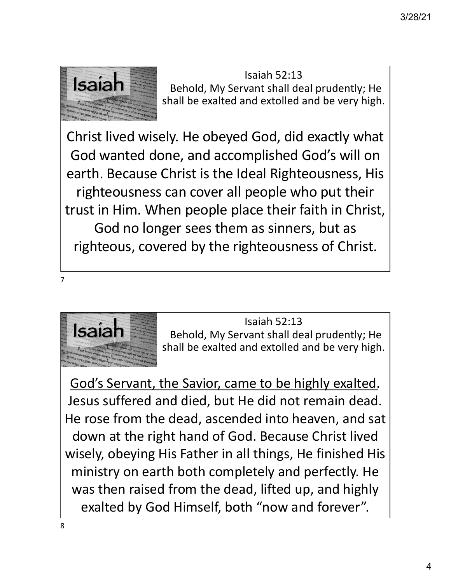

Isaiah 52:13<br>**Isaiah 1988 Behold, My Servant shall deal prudently; He** shall be exalted and extolled and be very high.

Christ lived wisely. He obeyed God, did exactly what God wanted done, and accomplished God's will on earth. Because Christ is the Ideal Righteousness, His righteousness can cover all people who put their trust in Him. When people place their faith in Christ, God no longer sees them as sinners, but as righteous, covered by the righteousness of Christ.





Isaiah 52:13<br>**Isaiah** Behold, My Servant shall deal prudently; He shall be exalted and extolled and be very high.

God's Servant, the Savior, came to be highly exalted. Jesus suffered and died, but He did not remain dead. He rose from the dead, ascended into heaven, and sat down at the right hand of God. Because Christ lived wisely, obeying His Father in all things, He finished His ministry on earth both completely and perfectly. He was then raised from the dead, lifted up, and highly exalted by God Himself, both "now and forever".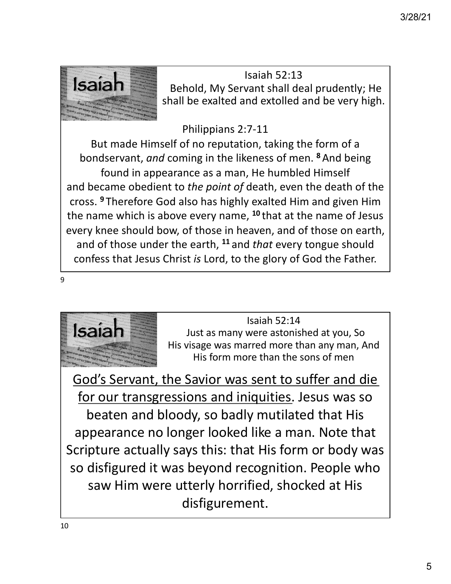

Isaiah 52:13<br>**Isaiah 1988 Behold, My Servant shall deal prudently; He** shall be exalted and extolled and be very high.

#### Philippians 2:7-11

But made Himself of no reputation, taking the form of a bondservant, *and* coming in the likeness of men. **<sup>8</sup>**And being found in appearance as a man, He humbled Himself and became obedient to *the point of* death, even the death of the cross. **<sup>9</sup>** Therefore God also has highly exalted Him and given Him the name which is above every name, **<sup>10</sup>** that at the name of Jesus every knee should bow, of those in heaven, and of those on earth, and of those under the earth, **<sup>11</sup>** and *that* every tongue should confess that Jesus Christ *is* Lord, to the glory of God the Father.

9



Isaiah 52:14<br>Isaiah 32:14<br>A Tip discording the second many then any man of His visage was marred more than any man, And His form more than the sons of men

God's Servant, the Savior was sent to suffer and die for our transgressions and iniquities. Jesus was so beaten and bloody, so badly mutilated that His appearance no longer looked like a man. Note that Scripture actually says this: that His form or body was so disfigured it was beyond recognition. People who saw Him were utterly horrified, shocked at His disfigurement.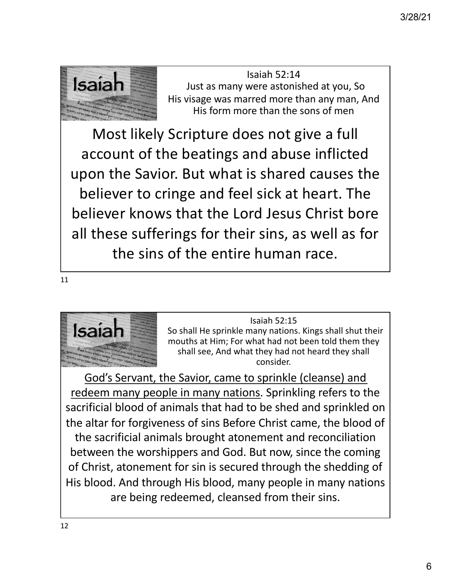

Isaiah 52:14<br>Isaiah S2:14<br>Ilis visses was many were astonished at you, So His visage was marred more than any man, And His form more than the sons of men

Most likely Scripture does not give a full account of the beatings and abuse inflicted upon the Savior. But what is shared causes the believer to cringe and feel sick at heart. The believer knows that the Lord Jesus Christ bore all these sufferings for their sins, as well as for the sins of the entire human race.

11



Isaiah 52:15<br>So shall He sprinkle many nations<br>mouths at Him: For what had not So shall He sprinkle many nations. Kings shall shut their mouths at Him; For what had not been told them they shall see, And what they had not heard they shall consider.

God's Servant, the Savior, came to sprinkle (cleanse) and redeem many people in many nations. Sprinkling refers to the sacrificial blood of animals that had to be shed and sprinkled on the altar for forgiveness of sins Before Christ came, the blood of the sacrificial animals brought atonement and reconciliation between the worshippers and God. But now, since the coming of Christ, atonement for sin is secured through the shedding of His blood. And through His blood, many people in many nations are being redeemed, cleansed from their sins.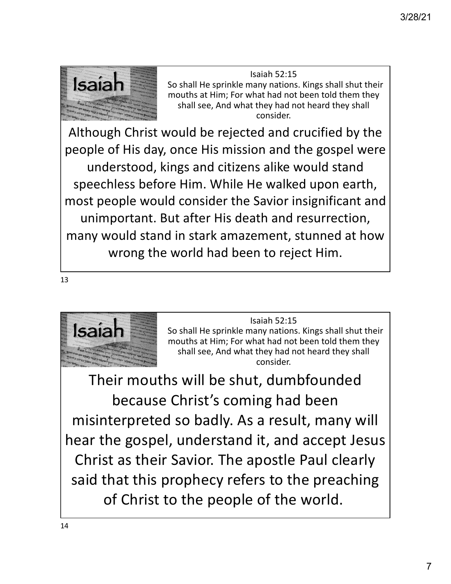

Isaiah 52:15<br>So shall He sprinkle many nations<br>mouths at Him: For what had not So shall He sprinkle many nations. Kings shall shut their mouths at Him; For what had not been told them they shall see, And what they had not heard they shall consider.

Although Christ would be rejected and crucified by the people of His day, once His mission and the gospel were understood, kings and citizens alike would stand speechless before Him. While He walked upon earth, most people would consider the Savior insignificant and unimportant. But after His death and resurrection, many would stand in stark amazement, stunned at how wrong the world had been to reject Him.

13



Isaiah 52:15<br>So shall He sprinkle many nations<br>mouths at Him: For what had not So shall He sprinkle many nations. Kings shall shut their mouths at Him; For what had not been told them they shall see, And what they had not heard they shall consider.

Their mouths will be shut, dumbfounded because Christ's coming had been misinterpreted so badly. As a result, many will hear the gospel, understand it, and accept Jesus Christ as their Savior. The apostle Paul clearly said that this prophecy refers to the preaching of Christ to the people of the world.